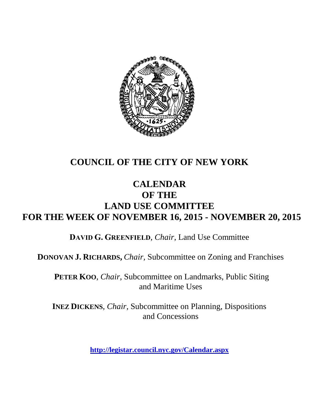

# **COUNCIL OF THE CITY OF NEW YORK**

# **CALENDAR OF THE LAND USE COMMITTEE FOR THE WEEK OF NOVEMBER 16, 2015 - NOVEMBER 20, 2015**

**DAVID G. GREENFIELD**, *Chair*, Land Use Committee

**DONOVAN J. RICHARDS,** *Chair,* Subcommittee on Zoning and Franchises

**PETER KOO**, *Chair*, Subcommittee on Landmarks, Public Siting and Maritime Uses

**INEZ DICKENS**, *Chair,* Subcommittee on Planning, Dispositions and Concessions

**<http://legistar.council.nyc.gov/Calendar.aspx>**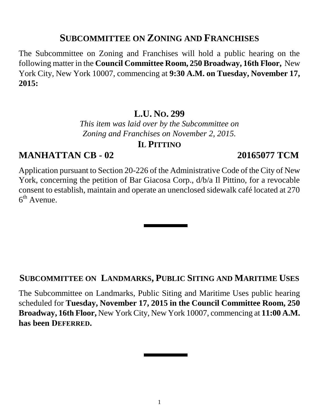## **SUBCOMMITTEE ON ZONING AND FRANCHISES**

The Subcommittee on Zoning and Franchises will hold a public hearing on the following matter in the **Council Committee Room, 250 Broadway, 16th Floor,** New York City, New York 10007, commencing at **9:30 A.M. on Tuesday, November 17, 2015:**

# **L.U. NO. 299**

*This item was laid over by the Subcommittee on Zoning and Franchises on November 2, 2015.* 

### **IL PITTINO**

# **MANHATTAN CB - 02 20165077 TCM**

Application pursuant to Section 20-226 of the Administrative Code of the City of New York, concerning the petition of Bar Giacosa Corp., d/b/a Il Pittino, for a revocable consent to establish, maintain and operate an unenclosed sidewalk café located at 270 6<sup>th</sup> Avenue.

#### **SUBCOMMITTEE ON LANDMARKS, PUBLIC SITING AND MARITIME USES**

The Subcommittee on Landmarks, Public Siting and Maritime Uses public hearing scheduled for **Tuesday, November 17, 2015 in the Council Committee Room, 250 Broadway, 16th Floor,** New York City, New York 10007, commencing at **11:00 A.M. has been DEFERRED.**